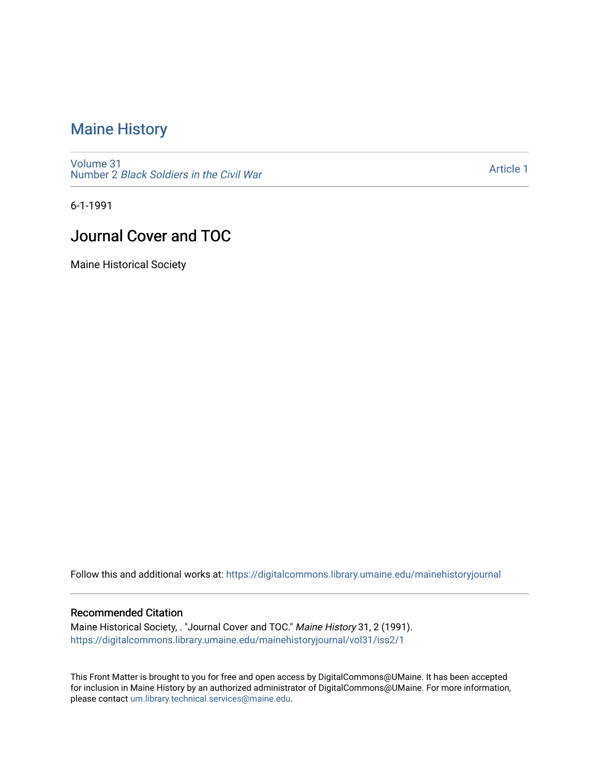# [Maine History](https://digitalcommons.library.umaine.edu/mainehistoryjournal)

[Volume 31](https://digitalcommons.library.umaine.edu/mainehistoryjournal/vol31) Number 2 [Black Soldiers in the Civil War](https://digitalcommons.library.umaine.edu/mainehistoryjournal/vol31/iss2) 

[Article 1](https://digitalcommons.library.umaine.edu/mainehistoryjournal/vol31/iss2/1) 

6-1-1991

# Journal Cover and TOC

Maine Historical Society

Follow this and additional works at: [https://digitalcommons.library.umaine.edu/mainehistoryjournal](https://digitalcommons.library.umaine.edu/mainehistoryjournal?utm_source=digitalcommons.library.umaine.edu%2Fmainehistoryjournal%2Fvol31%2Fiss2%2F1&utm_medium=PDF&utm_campaign=PDFCoverPages) 

### Recommended Citation

Maine Historical Society, . "Journal Cover and TOC." Maine History 31, 2 (1991). [https://digitalcommons.library.umaine.edu/mainehistoryjournal/vol31/iss2/1](https://digitalcommons.library.umaine.edu/mainehistoryjournal/vol31/iss2/1?utm_source=digitalcommons.library.umaine.edu%2Fmainehistoryjournal%2Fvol31%2Fiss2%2F1&utm_medium=PDF&utm_campaign=PDFCoverPages)

This Front Matter is brought to you for free and open access by DigitalCommons@UMaine. It has been accepted for inclusion in Maine History by an authorized administrator of DigitalCommons@UMaine. For more information, please contact [um.library.technical.services@maine.edu.](mailto:um.library.technical.services@maine.edu)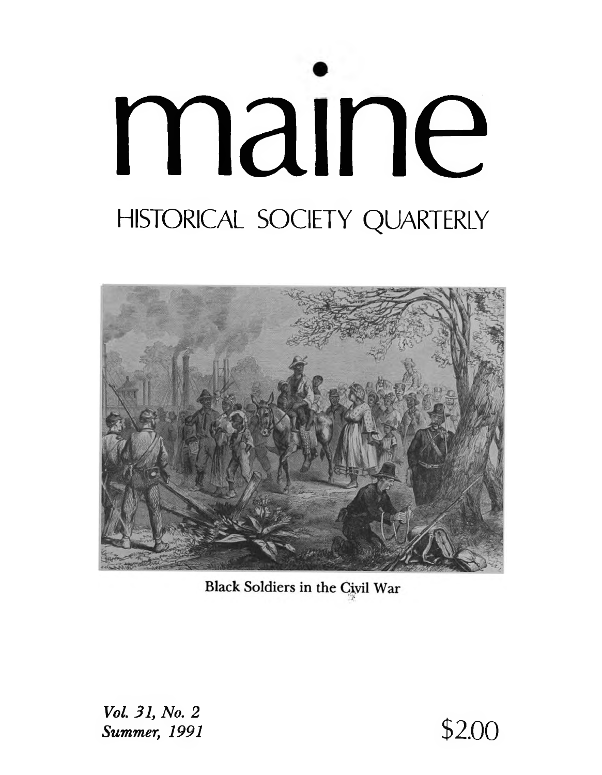# maine HISTORICAL SOCIETY QUARTERLY



Black Soldiers in the Civil War

Vol. 31, No. 2 **Summer, 1991** 

\$2.00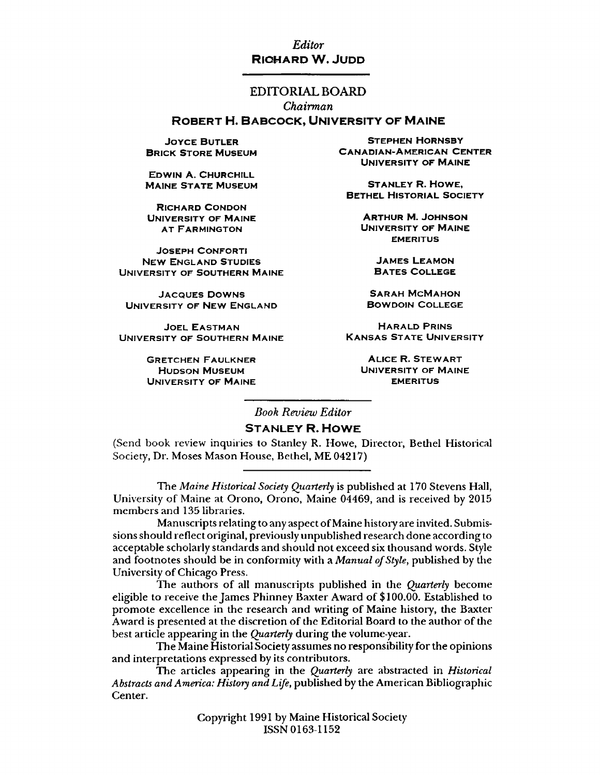### *Editor* RICHARD W. JUDD

### EDITORIAL BOARD

*Chairman*

### ROBERT H. BABCOCK, UNIVERSITY OF MAINE

**JOYCE BUTLER BRICK STORE MUSEUM** 

EDWIN A. CHURCHILL **MAINE STATE MUSEUM** 

**RICHARD CONDON** UNIVERSITY OF MAINE **AT FARMINGTON** 

**JOSEPH CONFORTI** NEW ENGLAND STUDIES UNIVERSITY OF SOUTHERN MAINE

JACQUES DOWNS SARAH MCMAHON UNIVERSITY OF NEW ENGLAND BOWDOIN COLLEGE

**JOEL EASTMAN** UNIVERSITY OF SOUTHERN MAINE

> GRETCHEN FAULKNER **EXAMPLE A PROPER ALICE R. STEWART** UNIVERSITY OF MAINE EMERITUS

STEPHEN HORNSBY CANADIAN-AMERICAN CENTER UNIVERSITY OF MAINE

**STANLEY R. HOWE, BETHEL HISTORIAL SOCIETY** 

> **ARTHUR M. JOHNSON** UNIVERSITY OF MAINE **EMERITUS**

**JAMES LEAMON BATES COLLEGE** 

**HARALD PRINS KANSAS STATE UNIVERSITY** 

HUDSON MUSEUM **UNIVERSITY OF MAINE** 

*Book Review Editor*

### **STANLEY R. HOWE**

**(Send book review inquiries to Stanley R. Howe, Director, Bethel Historical Society, Dr. Moses Mason House, Bethel, ME 04217)**

**The** *Maine Historical Society Quarterly* **is published at 170 Stevens Hall, University of Maine at Orono, Orono, Maine 04469, and is received by 2015 members and 135 libraries.**

**Manuscripts relating to any aspect of Maine history are invited. Submissions should reflect original, previously unpublished research done according to acceptable scholarly standards and should not exceed six thousand words. Style and footnotes should be in conformity with a** *Manual of Style***, published by the University of Chicago Press.**

**The authors of all manuscripts published in the** *Quarterly* **become eligible to receive the James Phinney Baxter Award of \$100.00. Established to** promote excellence in the research and writing of Maine history, the Baxter **Award is presented at the discretion of the Editorial Board to the author of the best article appearing in the** *Quarterly* **during the volume-year.**

**The Maine Historial Society assumes no responsibility for the opinions and interpretations expressed by its contributors.**

**The articles appearing in the** *Quarterly* **are abstracted in** *Historical Abstracts and America: History and Life***, published by the American Bibliographic Center.**

> **Copyright 1991 by Maine Historical Society ISSN 0163-1152**